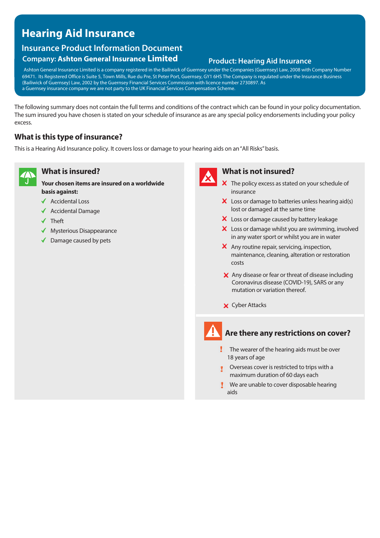# **Hearing Aid Insurance**

# **Insurance Product Information Document**

## **Company: Ashton General Insurance Limited Product: Hearing Aid Insurance**

Ashton General Insurance Limited is a company registered in the Bailiwick of Guernsey under the Companies (Guernsey) Law, 2008 with Company Number 69471. Its Registered Office is Suite 5, Town Mills, Rue du Pre, St Peter Port, Guernsey, GY1 6HS The Company is regulated under the Insurance Business (Bailiwick of Guernsey) Law, 2002 by the Guernsey Financial Services Commission with licence number 2730897. As a Guernsey insurance company we are not party to the UK Financial Services Compensation Scheme.

The following summary does not contain the full terms and conditions of the contract which can be found in your policy documentation. The sum insured you have chosen is stated on your schedule of insurance as are any special policy endorsements including your policy excess.

## **What is this type of insurance?**

This is a Hearing Aid Insurance policy. It covers loss or damage to your hearing aids on an"All Risks" basis.



## **What is insured?**

**Your chosen items are insured on a worldwide basis against:** 

- ◆ Accidental Loss
- $\triangleleft$  Accidental Damage
- $\checkmark$  Theft
- ◆ Mysterious Disappearance
- ◆ Damage caused by pets



## **What is not insured?**

- X The policy excess as stated on your schedule of insurance
- $\boldsymbol{\times}$  Loss or damage to batteries unless hearing aid(s) lost or damaged at the same time
- X Loss or damage caused by battery leakage
- X Loss or damage whilst you are swimming, involved in any water sport or whilst you are in water
- X Any routine repair, servicing, inspection, maintenance, cleaning, alteration or restoration costs
- X Any disease or fear or threat of disease including Coronavirus disease (COVID-19), SARS or any mutation or variation thereof.
- Cyber Attacks

## **Are there any restrictions on cover?**

- $\mathbf{\ddot{.}}$  The wearer of the hearing aids must be over 18 years of age
- **Overseas cover is restricted to trips with a** maximum duration of 60 days each
- **We are unable to cover disposable hearing** aids